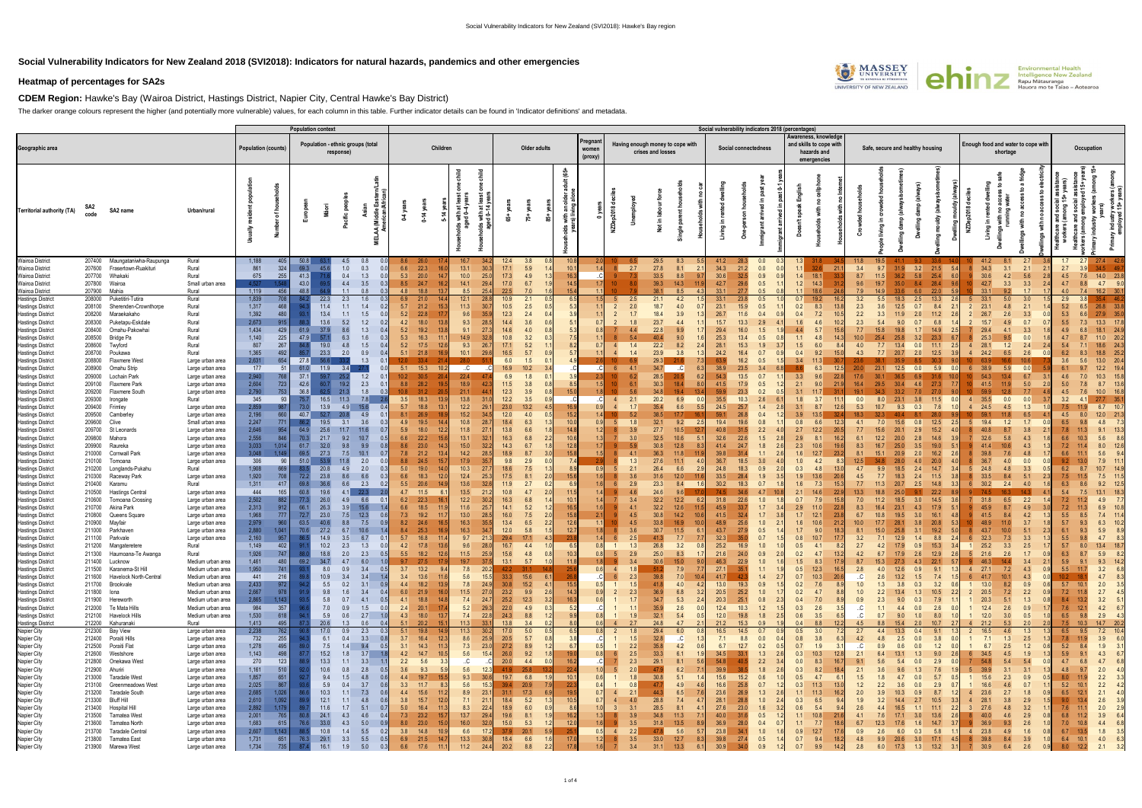## **Social Vulnerability Indicators for New Zealand 2018 (SVI2018): Indicators for natural hazards, pandemics and other emergencies**

## **Heatmap of percentages for SA2s**

**CDEM Region:** Hawke's Bay (Wairoa District, Hastings District, Napier City, Central Hawke's Bay District)

 $\blacksquare$ 

The darker orange colours represent the higher (and potentially more vulnerable) values, for each column in this table. Further indicator details can be found in 'Indicator definitions' and metadata.

|                                                      |                  |                                                   |                                        |                            |              | <b>Population context</b> |                     |                                   |                   |                                |                                          |                      |                            |            |                     |                             |                |            |                                                       |                           |              | Social vulnerability indicators 2018 (percentages |                          |            |                                                                               |            |            |                                  |                                          |                              |                                    |             |                   |                        |                           |                             |
|------------------------------------------------------|------------------|---------------------------------------------------|----------------------------------------|----------------------------|--------------|---------------------------|---------------------|-----------------------------------|-------------------|--------------------------------|------------------------------------------|----------------------|----------------------------|------------|---------------------|-----------------------------|----------------|------------|-------------------------------------------------------|---------------------------|--------------|---------------------------------------------------|--------------------------|------------|-------------------------------------------------------------------------------|------------|------------|----------------------------------|------------------------------------------|------------------------------|------------------------------------|-------------|-------------------|------------------------|---------------------------|-----------------------------|
| Geographic area                                      |                  |                                                   |                                        | <b>Population (counts)</b> |              |                           | response)           | Population - ethnic groups (total |                   |                                | Children                                 |                      | Older adults               |            |                     | Pregnan<br>women<br>(proxy) |                |            | Having enough money to cope with<br>crises and losses |                           |              | Social connectedness                              |                          |            | Awareness, knowledge<br>and skills to cope with<br>hazards and<br>emergencies |            |            | Safe, secure and healthy housing |                                          |                              | inough food and water to cope with | shortage    |                   |                        | Occupation                |                             |
| Territorial authority (TA)                           | SA <sub>2</sub>  | SA2 name                                          | Urban/rural                            |                            |              |                           |                     |                                   |                   | $0-14y$                        | with at<br>ed 0-4 )<br>with at<br>d 0-14 | ន់                   | ង្                         |            | త్ర<br>nan<br>Iivin |                             | $\infty$       |            |                                                       |                           |              |                                                   |                          |            |                                                                               |            |            |                                  |                                          | 2018<br>Ξ.<br>NZDe<br>Living |                                    |             |                   |                        |                           |                             |
| <b>Wairoa District</b>                               | 207400           | Maungataniwha-Raupunga                            | Rural                                  | 1,188                      |              | 50.8                      |                     | 4.5<br>0.8                        |                   | 26.0                           | 16.7                                     | 12.4                 | 3.8                        |            |                     |                             |                |            |                                                       |                           | 41.2         | 28.3                                              | 0.0                      |            |                                                                               |            |            |                                  |                                          |                              | 41.2                               | 8.1         | 2.7               | 1.7                    | 27.4                      |                             |
| <b>Wairoa District</b>                               | 207600           | Frasertown-Ruakituri                              | Rural                                  | 861                        | 324          | 69.3                      | - 45.               | 0.3<br>1.0                        | 6.6               | 22.3                           | 13.1                                     | 17.1                 | 5.9                        |            | 10.1                |                             |                | 2.7        | 27.8                                                  | 8.1                       | 34.3         | 21.2                                              | 0.0                      | 1.1        | 32.6<br>21.1                                                                  | 3.4        | 9.7        | 31.9<br>3.2                      | 21.5                                     | 5.4                          | 34.3                               | 3.1         | 2.1               | 2.7                    |                           | - 49.                       |
| <b>Wairoa District</b>                               |                  | 207700 Whakaki                                    | Rural                                  | 675<br>4.527               | 255          | 41.3                      |                     | 0.4<br>1.3                        | 5.3               | 20.0                           | 10.0                                     | 17.3<br>25.0         | 4.9                        |            |                     |                             |                |            | 33.5                                                  | 8.8                       | 30.6         | 32.5                                              | 0.9                      | 1.4        | 18.1<br>33.3                                                                  | 8.7        |            | 36.2<br>5.8                      | 25.4                                     |                              | 30.6                               | 4.2         | 5.6               | 4.5                    |                           | 14.0 23.8                   |
| <b>Wairoa District</b><br>Wairoa District            | 207800<br>207900 | Wairoa<br>Mahia                                   | Small urban area<br>Rural              | 1,119                      | 1.548<br>456 | 43.0<br>48.8              |                     | 4.4<br>3.5<br>1.1<br>0.8          | 8.5<br>0.3<br>4.8 | 24.7<br>18.8                   | 14.1<br>29.4<br>8.5<br>25.4              | 17.0<br>22.5         | 6.7<br>7.0                 |            | 15                  |                             |                |            | 39.3<br>38.1                                          | 14.3<br>8.5               | 42.7<br>33.1 | 29.6<br>27.7                                      | 0.5<br>0.5               | 1.2        | 14.3<br>18.6                                                                  | 9.6<br>7.9 |            | 35.0                             | 28.4<br>8.4<br>22.0                      |                              | 42.7<br>33.1                       | 3.3         | 3.3<br>1.7        | 4.7<br>4.0             | 8.8<br>4.7<br>16.2<br>7.4 | 9.0<br>30.                  |
| <b>Hastings District</b>                             | 208000           | Puketitiri-Tutira                                 | Rural                                  | 1,839                      | 708          |                           | 22.3                | 2.3<br>1.6                        | 6.9               | 21.0                           | 12.1<br>28.                              | 10.9                 | 2.1                        |            | 6.                  |                             |                |            | 21.1                                                  | 4.2                       | 33.1         | 23.8                                              | 0.5                      | 0.7        | 19.2<br>16.2                                                                  | 3.2        | 5.5        | 18.3<br>2.5                      | 13.3                                     |                              | 33.1                               | 5.0         | 3.0               | 2.9                    |                           |                             |
| <b>Hastings District</b>                             | 208100           | Sherenden-Crownthorpe                             | Rural                                  | 1,317                      | 468          |                           | 11.4                | 1.4<br>1.1                        | 5.7<br>0.2        | 21.2                           | 11.3<br>30.                              | 10.5                 | 2.5                        |            | 5.3                 |                             |                | 2(         | 18.7                                                  | 4.0                       | 23.1         | 15.9                                              | 0.5                      | 0.2        | 8.3                                                                           | 2.3        |            | 12.5<br>0.7                      | 8.4                                      |                              | 23.1                               | 4.8         | 2.1               | 5.2                    | 6.5<br>26.8               | 33.8                        |
| Hastings District                                    | 208200           | Maraekakaho                                       | Rural                                  | 1,392                      | 480          |                           | 13.4                | 1.5                               | 5.2               | 22.8                           | 9.6                                      | 12.3                 | 2.4                        | 0.4        |                     |                             |                |            | 18.4                                                  |                           | 26.7         | 11.6                                              | 0.4                      | 0.4        | 7.2                                                                           | 2.2        |            |                                  | 11.2                                     |                              |                                    |             | 3.3               | 5.3                    | 27.9<br>6.6               |                             |
| <b>Hastings District</b>                             | 208300           | Puketapu-Eskdale                                  | Rural                                  | 2,673                      | 915          |                           | 13.6                | 1.2<br>5.2                        | 4.2               | 18.0                           | 9.3<br>28.5                              | 14.4                 | 3.6                        |            |                     |                             |                |            | 23.7                                                  | 4.4                       | 15.7         | 13.3                                              |                          |            | 4.6                                                                           | 2.3        |            | 9.0                              | 6.8                                      |                              |                                    |             | 0.7               | 5.5                    | 13.3<br>7.3               |                             |
| <b>Hastings District</b>                             | 208400           | Omahu-Pakowhai                                    | Rural                                  | 1,434                      | 429          | 61.9                      | 37.9                | 1.3                               | 5.2               | 19.2                           | 9.1                                      | 14.6                 | 4.0                        |            | -5.                 |                             |                |            | 22.8                                                  | 9.9                       | 29.4         | 16.0                                              | 1.5                      | 4.4        | 5.7                                                                           |            |            |                                  | 14.9                                     |                              |                                    |             | 3.3               | 4.9                    | 18.1<br>6.8               |                             |
| <b>Hastings District</b>                             | 208500           | <b>Bridge Pa</b>                                  | Rural                                  | 1,140                      | 225          | 47.9                      | 6.3                 |                                   | 5.3               | 16.3                           | 14.9                                     | 10.8                 | 3.2                        |            |                     |                             |                |            |                                                       |                           | 25.3         | 13.4                                              |                          | 1.1        |                                                                               |            |            |                                  | 23.3                                     |                              |                                    |             | 0.0               |                        |                           |                             |
| <b>Hastings District</b>                             | 208600           | Twyford                                           | Rural                                  | 807<br>1,365               | 267<br>492   |                           | 19.0<br>23.3<br>2.0 | 4.8<br>1.5                        | 5.2<br>5.1        | 17.5                           | 9.3<br>26                                | 17.1                 | 5.2                        |            |                     |                             |                | 14         | 22.2<br>23.9                                          | 8.2<br>3.8                | 28.1<br>24.2 | 15.3                                              |                          |            | 6.0<br>9.2                                                                    |            |            | 13.4<br>0.0 <sub>1</sub>         | 11.1                                     |                              | 28.1                               | 1.2         | 2.4               | -5.4                   | 18.6                      |                             |
| <b>Hastings District</b><br>Hastings District        | 208700<br>208800 | Poukawa<br>Flaxmere West                          | Rural<br>Large urban area              | 2,631                      | 654          | 27.8                      |                     | 0.9<br>1.3                        |                   | 21.8<br>33.4                   | 10.1<br>29.6<br>28.0                     | 16.5<br>6.0          | 5.7<br>1.5                 |            |                     |                             |                |            | 29.3                                                  |                           |              | 16.4<br>16.2                                      | 0.7                      | 0.4        |                                                                               |            |            | 2.0<br>20.7                      | 12.5<br>30.3                             | $\overline{4}$               | 24.2                               | 6.5         | 2.6<br>10.6       | 6.2<br>3.6             | 18.8<br>5.6<br>13.0       | 20.4                        |
| Hastings District                                    | 208900           | Omahu Strip                                       | Large urban area                       | 177                        | -51          | 61.0                      | 11.9                |                                   | 5.1               | 15.3                           | .C.                                      | 16.9                 | 10.2                       |            |                     |                             |                |            | 34.7                                                  |                           | 38.9         | 23.5                                              |                          |            | 6.3                                                                           |            |            | 12.5<br>0.0                      | 5.9                                      |                              |                                    |             |                   |                        | 12.2                      |                             |
| Hastings District                                    | 209000           | Lochain Park                                      | Large urban area                       | 2,940                      | 768          | 37.1                      |                     | 1.2                               | 10.2              | 30.5                           | 22.4                                     | 6.9                  | 1.8                        |            |                     |                             |                |            | 28.5                                                  | 20.5                      | 54.3         | 13.5                                              | 0.7                      | 3.3        | 9.6<br>22.8                                                                   |            |            |                                  |                                          |                              |                                    |             | 6.7               | 4.6                    | 10.3<br>7.0               |                             |
| Hastings District                                    | 209100           | Flaxmere Park                                     | Large urban area                       | 2,604                      | 723          | 42.6                      | 19.2                | 2.3                               | 8.8               | 28.2                           | 18.9                                     | $11.5$               | 3.8                        |            |                     |                             |                |            | 30.3                                                  | 18.4                      | 41.5         | 17.9                                              |                          | 2.1        | 90                                                                            |            |            | 30.4                             | 27.3                                     |                              | 41.5                               |             | 5.0               | 5.0                    | 8.7                       |                             |
| <b>Hastings District</b>                             | 209200           | Flaxmere South                                    | Large urban area                       | 2,790                      | 753          | 36.8                      | 21.3                | 1.8                               | 10.8              | 31.2                           | 21.1                                     | 12.3                 | 3.9                        |            | 15.0                |                             |                |            |                                                       | 19.4<br>13 $\iota$        | 59.9         | 23.3                                              | 0.2                      |            |                                                                               |            |            |                                  | 27.0                                     |                              |                                    |             | 7.7               | 4.5                    | 10.0                      |                             |
| Hastings District                                    | 209300           | Irongate                                          | Rural                                  | 345                        | 93           | 75.7                      | 11.3<br>16.5        | 7.8                               | 3.5               | 18.3                           | 13.8                                     | $12.2$               | 3.5                        |            |                     | C.                          |                | 2.1        | 20.2                                                  | 6.9                       | 35.5         | 10.3                                              |                          | 1.8        | 3.7                                                                           | 0.0        |            | 3.8                              | 11.5                                     |                              |                                    | 0.0         | 0.0               | 3.2                    | 27.7                      |                             |
| <b>Hastings District</b><br><b>Hastings District</b> | 209400<br>209500 | Frimley<br>Camberley                              | Large urban area<br>Large urban area   | 2,859<br>2,196             | 987<br>660   | 73.0<br>40.7              | 13.9                | 15.6<br>4.9<br>4.9<br>0.1         | 5.7<br>0.4<br>8.1 | 18.8<br>26.9                   | $12.2$<br>29<br>15.2                     | 23.0<br>$12.0$       | 13.2<br>4.0                |            | 16.<br>15.2         |                             |                |            | 35.4                                                  | 6.6                       | 24.5<br>59.1 | 25.7<br>26.8                                      | 1.4<br>0.4               | 3.1<br>3.9 | 8.7<br>13.5                                                                   | 5.3        |            | 9.3<br>0.3                       | 7.6<br>28.0                              |                              |                                    | 4.5         | 1.3               | 7.5<br>4.5             | 6.7<br>8.0<br>12.0        |                             |
| <b>Hastings District</b>                             | 209600           | Clive                                             | Small urban area                       | 2,247                      | 771          |                           | 19.5<br>3.1         | 3.6                               | 4.9               | 19.5                           | 10.8                                     | 18.4                 | 6.3                        |            | 10.                 |                             |                |            | 32.1                                                  | 9.2                       | 19.4         | 19.6                                              | 0.8                      | 0.8        | 6.6<br>12.3                                                                   | 4.1        |            | 15.6<br>0.8                      | $12.5$                                   |                              | 19.4                               | 1.2         | 1.7               | 6.5                    | 4.8                       |                             |
| Hastings District                                    | 209700           | St Leonards                                       | Large urban area                       | 2,646                      | 954          | 64.9                      | 25.6<br>11.7        | 11.6                              | 5.9<br>0.7        | 18.0                           | 11.8                                     | 13.8                 | 6.6                        |            | 14 <sub>1</sub>     |                             |                | 3.9        | 27.7                                                  | 10.5                      | 40.8         | 31.5                                              | 2.2                      | 2.7        | $12.2$                                                                        |            |            | 20.<br>2.9                       | 15.2                                     |                              |                                    |             | 3.8               | 7.8                    | 9.1                       |                             |
| <b>Hastings District</b>                             | 209800           | Mahora                                            | Large urban area                       | 2,556                      | 846          | 70.3                      | 21.7                | 10.7                              | 6.6               | 22.2                           | 13.1                                     | 16.3                 | 6.8                        | $2.2\,$    | 10.6                |                             |                |            | 32.5                                                  | 10.6                      | 32.6         | 22.6                                              | 1.5                      | 2.9        | 8.1<br>16.2                                                                   |            |            | 20.0                             | 14.6                                     |                              |                                    |             | 4.3               | 6.6                    | 5.6                       |                             |
| <b>Hastings District</b>                             | 209900           | Raureka                                           | Large urban area                       | 3,033                      | 1.014        | 61.7                      | 32.0                | 9.9                               | 8.6               | 23.0                           | 15.0                                     | 14.3                 | 6.7                        |            | 12.                 |                             |                |            | 30.8                                                  | 12.8                      | 41.4         | 24.7                                              | 1.8                      | 2.3        | 10.6                                                                          |            |            | 25.0                             | 19.0                                     |                              |                                    |             |                   |                        |                           |                             |
| Hastings District                                    | 210000           | <b>Cornwall Park</b>                              | Large urban area                       | 3,048                      | 1.149        | 69.5                      | 27.3                | 10.1<br>7.5                       | 7.8               | 21.2                           | 14.2                                     | 18.9                 | 8.7                        |            | 15.8                |                             |                |            | 36.3                                                  | 11.8                      | 39.8         | 31.4                                              |                          | 1.6        | 12.7<br>23.2                                                                  |            |            | 20.9<br>2.0                      | 16.2                                     |                              |                                    |             |                   | 6.6                    | 5.6                       |                             |
| <b>Hastings District</b>                             | 210100<br>210200 | Tomoana<br>Longlands-Pukahu                       | Large urban area<br>Rural              | 306<br>1,908               | -90<br>669   | 51.0<br>83.5              | 20.8                | 2.0<br>2.0<br>4.9                 | 8.8<br>5.0        | 24.5<br>19.0                   | 17.9<br>10.3                             | 9.8<br>18.6          | 2.9<br>7.5                 |            | 7.4                 | 0.91                        |                | 1.3        | 27.6<br>26.4                                          | 11.1<br>6.6               | 36.7<br>24.8 | 18.5<br>18.3                                      | 3.0<br>0.9               | 1.0<br>0.3 | 4.2<br>4.8                                                                    |            |            |                                  | 20.0<br>14.7                             |                              |                                    |             | 0.0<br>3.3        | 6.2                    | 7.9<br>10.7               |                             |
| <b>Hastings District</b><br>Hastings District        | 210300           | Raceway Park                                      | Large urban area                       | 1,920                      | 708          | 72.2                      | 23.8                | 6.6<br>8.6                        | 6.6               | 18.3                           | 12.4                                     | 17.5                 | 8.1                        |            | 15.                 |                             |                | 3.6        |                                                       | 12.0                      | 33.5         | 28.4                                              | 1.9                      | 1.9        | 13.6                                                                          |            |            |                                  | 11.5                                     |                              |                                    |             |                   | 7.5                    |                           |                             |
| Hastings District                                    | 210400           | Karamu                                            | Rural                                  | 1,311                      | 417          | 69.8                      | 36.6                | 2.3<br>6.6                        | 0.2<br>5.5        | 20.6                           | 13.6                                     | $11.9$               | 2.7                        |            | 6.9                 |                             |                | 2.9        | 23.3                                                  | 8.4                       | 30.2         | 18.3                                              | 0.7                      | 1.6        | 7.3<br>15.3                                                                   |            |            |                                  | 14.8                                     |                              | 30.2                               |             |                   | 6.3                    | 9.2                       |                             |
| <b>Hastings District</b>                             | 210500           | <b>Hastings Central</b>                           | Large urban area                       | 444                        | 165          | 60.8                      | 19.6                | 4.1<br>22.3                       | 4.7               | 11.5                           | $13.5$                                   | 10.8                 | 4.7                        |            | 11.                 |                             |                |            |                                                       |                           |              |                                                   |                          |            | 14.6<br>22.9                                                                  |            |            |                                  | 22.2                                     |                              |                                    |             |                   | 5.4                    | 13.1                      |                             |
| Hastings District                                    | 210600           | Tomoana Crossing                                  | Large urban area                       | 2,502                      | 882          | 77.3                      | 26.0                | 4.9<br>6.6<br>0.1                 | 6.2               | 22.3                           | 12.2                                     | 16.3                 | 6.8                        |            | 10.                 |                             |                | 3.4        | 32.2                                                  | 12.2                      | 31.8         | 22.6                                              | 1.0                      | 0.7        | 7.9                                                                           |            |            | 18.5                             | 14.5                                     |                              | 31.8                               | 6.5         | 2.2               | 7.2                    | 4.9                       |                             |
| <b>Hastings District</b>                             | 210700           | Akina Park                                        | Large urban area                       | 2,313                      | 912          | 66.1                      | 26.3                | 15.6<br>3.9                       | 6.6               | 18.5                           | 11.6<br>25                               | 14.1                 | 5.2                        |            | 16.                 |                             |                |            | 32.2                                                  | 12.6                      | 45.9         | 33.7                                              | 1.7                      | 2.9        | 11.0<br>22.8                                                                  |            |            |                                  | 17.9                                     |                              | 45.9                               |             | 4.9               | 7.2                    | 6.9                       |                             |
| <b>Hastings District</b>                             | 210800           | Queens Square                                     | Large urban area                       | 1,968                      | 777          | 72.7                      | 23.0                | 7.5<br>12.3                       | 0.6<br>7.3        | 19.2                           | 13.0                                     | 16.0                 | 7.5                        |            | 15.8                |                             |                |            | 30.8                                                  | 14.2<br>10.6              | 41.5         | 32.4                                              | 1.7                      |            | 12.1<br>23.8                                                                  |            |            | 19.5                             | 16.1                                     |                              |                                    |             | 4.2               | 5.5                    | 7.4<br>8.5                |                             |
| Hastings District<br><b>Hastings District</b>        | 210900<br>211000 | Mayfair<br>Parkhaven                              | Large urban area<br>Large urban area   | 2,979<br>2,880             | 960<br>1,041 | 63.5<br>70.6              | 40.6<br>27.2<br>6.7 | 8.8<br>7.5<br>10.6                | 8.2<br>8.4        | 24.6<br>25.3                   | 16.3<br>16.3<br>34.                      | 13.4<br>$12.0$       | 6.5<br>5.8                 | 2.2        | 12.6<br>12.7        |                             |                | 4.5<br>3.6 | 30.7                                                  | 16.9<br>10.<br>$11.5$     | 48.9<br>43.7 | 25.6<br>27.9                                      | 1.0<br>0.5               | 1.6<br>1.7 | 10.6<br>9.0<br>18.3                                                           |            |            | 25.8                             | 20.8<br>19.2                             |                              |                                    |             | 3.7<br>5.1        | $-5.7$<br>6.1          | 6.3<br>5.9<br>9.3         |                             |
| <b>Hastings District</b>                             | 211100           | Parkvale                                          | Large urban area                       | 2,160                      | 957          | 86.5                      | 14.9                | 3.5<br>6.7                        | 5.7<br>0.1        | 16.8                           | 9.7<br>21.3                              | 29.4                 | 17.1                       |            |                     |                             |                |            |                                                       | 7.7                       | 32.3         | 35.0                                              | 0.7                      | 0.8        | 10.7<br>17 7                                                                  | 3.2        |            | 12.9<br>1.4                      | 8.8                                      |                              | 32.3                               |             | 3.3               | 5.5                    | 4.7<br>9.8                |                             |
| Hastings District                                    | 211200           | Mangateretere                                     | Rural                                  | 1,149                      | 402          |                           | 10.2                | 1.3<br>2.3                        | 4.2               | 17.8                           | 9.6                                      | 16.7                 | 4.4                        |            |                     |                             |                |            | 26.8                                                  | 3.2                       | 25.2         | 16.9                                              | 1.0                      | 0.5        | 4.1                                                                           |            |            | 0.9<br>17.9                      | 15.3                                     |                              | 25.2                               | 3.3         | 2.5               | 5.7                    | 8.0<br>13.4               |                             |
| <b>Hastings District</b>                             |                  | 211300 Haumoana-Te Awanga                         | Rural                                  | 1,926                      | 747          |                           | 18.8                | 2.0<br>2.3                        | 5.5               | 18.2                           | 11.5                                     | 15.6<br>25.9         | 4.8                        |            | 10.3                |                             |                | 29         | 25.0                                                  | 8.3                       | 21.6         | 24.0                                              | 0.9                      | 0.2        | 4.7<br>13.21                                                                  | 4.2        |            | 17.9<br>2.6                      | 12.9                                     |                              | 21.6                               | 2.6         | 1.7               | 6.3                    | 5.9<br>8.7                |                             |
| <b>Hastings District</b>                             |                  | 211400 Lucknow                                    | Medium urban area                      | 1,461                      | 480          | 69.2                      | 34.7                | 6.0<br>4.7                        |                   | 27.5                           | 19.7                                     | 37.5<br>13.1         | 5.7                        | 1.0        |                     |                             |                |            | 30.6                                                  | 15.0                      | 46.3         | 22.9                                              | 1.0                      | 1.5        | 8.3<br>17.9                                                                   |            |            | 27.3<br>4.3                      | 22.1                                     |                              |                                    |             | 3.4               | 5.9                    | 9.1                       | $9.3$ 14.2                  |
| <b>Hastings District</b>                             |                  | 211500 Karanema-St Hill                           | Medium urban area                      | 1,950                      | 741          |                           | 8.0                 | 0.9<br>3.4                        | 3.7<br>0.5        | 13.2                           | 7.8                                      | 20.2<br>42.2         | 31.1                       |            | 25.6                | 0.6                         | $\overline{4}$ |            |                                                       | 7.9                       | 27.1         | 35.1                                              | 1.1                      | 0.5        | 12.3<br>16.5                                                                  | 2.8        |            | 12.6<br>0.9                      | 9.1                                      |                              | $4$ 27.1                           | 7.2         | 4.3               | $5.5$ 11.7             |                           | $3.2\qquad 6.8$             |
| <b>Hastings District</b><br><b>Hastings District</b> |                  | 211600 Havelock North-Central<br>211700 Brookvale | Medium urban area<br>Medium urban area | 441<br>2,433               | 216<br>972   |                           | 10.9<br>5.5         | 3.4<br>3.4<br>0.2<br>3.1          | 1.4<br>0.9        | $3.4$ 13.6<br>4.4 18.2 13.9    | 5.6<br>7.8                               | 15.5<br>30.8<br>24.9 | 33.3 15.6<br>15.2          | 4.1        | 26.<br>15.5         | $\mathcal{C}$               | 6              | 2.3<br>1.5 | 39.8<br>41.8                                          | 7.0<br>10.4<br>4.0<br>4.2 | 41.7<br>13.0 | 42.3<br>19.3                                      | 1.4<br>2.7<br>0.9<br>1.5 | 0.7<br>0.2 | 10.3<br>20.6<br>7.6<br>8.9                                                    | .C.<br>1.0 | 2.6<br>1.3 | $13.2$<br>1.5<br>3.8<br>0.3      | 7.4<br>3.2                               |                              | $6\quad 41.7$<br>13.0              | 10.1<br>8.2 | 4.3<br>0.9        | 10.2<br>$5.7$ 10.1     |                           | 4.7 8.3<br>$2.0\qquad 3.5$  |
| <b>Hastings District</b>                             | 211800 lona      |                                                   | Medium urban area                      | 2,667                      | 978          |                           | 9.8                 | 1.6<br>3.4                        | 0.4               | 6.0 21.9 16.0                  | 11.5                                     | 23.2<br>27.0         | 9.9                        | 2.6        | 14.3                |                             |                | 2.3        | 36.9                                                  | 6.8                       | 20.5         | 25.2                                              | 1.0                      | 0.2        | 4.7<br>8.8                                                                    | 1.0        | 2.2        | 13.4<br>1.3                      | 10.5                                     |                              | 2 20.5                             | 7.2         | 2.2               | 7.2                    | 11.8                      | $2.7$ 4.5                   |
| <b>Hastings District</b>                             |                  | 211900 Hereworth                                  | Medium urban area                      | 2,865                      | 1,143        |                           | 5.8<br>0.7          | 4.1                               | 0.5               | 4.1  18.8  14.8                | 7.4<br>24.7                              |                      | 25.2 12.3                  | 3.2        | 16.3                | 0.6                         | $\overline{1}$ | 1.7        | 34.7                                                  | 5.3                       | 20.3         | 25.1                                              | 0.8<br>2.3               | 0.4        | 7.0<br>8.9                                                                    | 0.9        | 2.3        | 9.0<br>0.3                       | 7.9                                      |                              | $1 \t 20.3$                        | 5.1         | 1.3               | 8.4 13.2               |                           | $3.2$ $5.1$                 |
| <b>Hastings District</b>                             |                  | 212000 Te Mata Hills                              | Medium urban area                      | 984                        | 357          |                           | 7.0                 | 1.5<br>0.9                        | 0.0               | 2.4 20.1 17.4                  | 5.2                                      | 29.3<br>22.0         | 4.9                        | 0.3        | 5.2                 |                             |                |            | 35.9                                                  | 2.6                       | 12.4         | 10.3                                              | 1.2<br>1.5               | 0.3        | 2.6<br>3.5                                                                    | .C.        | 1.1        | 4.4<br>0.0                       | 2.6                                      | $\sim$ 1                     | 12.4                               | 2.6         | 0.9               | 7.6                    | 12.1                      | 4.2 6.7                     |
| <b>Hastings District</b>                             |                  | 212100 Havelock Hills                             | Medium urban area                      | 1,530                      | 618          |                           | 5.9                 | 0.6<br>2.7                        | 1.0               | 4.3 18.0 13.7                  | 7.4                                      | 24.3<br>22.8         | 8.8                        | 1.2        |                     |                             |                | 1.9        | 32.1                                                  | 5.4                       | 12.0         | 19.8                                              | 1.8<br>2.5               | 0.6        | 3.5<br>6.5                                                                    | .C.        | 0.7        | 9.0<br>1.0                       | 8.0                                      | $\overline{1}$               | 12.0                               | 3.0         | 0.5               | 6.5                    | 9.8                       | $2.9$ 4.3                   |
| <b>Hastings District</b>                             | 212200           | Kahuranaki                                        | Rural                                  | 1,413                      | 495          |                           | 20.6                | 0.6<br>1.3                        | 0.4               | $5.1$ 20.2                     | 11.3<br>33.1<br>15.1                     | 13.8                 | 3.4                        |            | 8.0                 |                             | $\overline{4}$ | 2.7        | 24.8                                                  | 4.7                       | 21.2         | 15.3                                              | 0.9<br>1.9               | 0.4        | 8.8<br>12.2                                                                   | 4.5        | 8.8        | 15.4<br>2.0                      | 10.7                                     |                              | $4$ 21.2                           | 5.3         | 2.0               |                        | 7.5 10.3 14.7 20.2        |                             |
| Napier City<br>Napier City                           |                  | 212300 Bay View<br>212400 Poraiti Hills           | Large urban area<br>Large urban area   | 2,238<br>732               | 762<br>255   |                           | 17.0<br>0.4<br>6.1  | 0.9<br>2.3<br>3.3                 | 0.3<br>5.1<br>0.8 | 19.8<br>$3.7$ 16.4             | 30.2<br>11.3<br>25.9<br>12.3<br>8.6      | 17.0<br>20.5         | 5.0<br>5.7                 | 0.5<br>0.8 | 6.5<br>3.8          | C                           |                | 1.8<br>1.5 | 29.4<br>32.8                                          | 6.0<br>.C                 | 16.5<br>7.1  | 14.5<br>8.8                                       | 0.7<br>0.0<br>0.4        | 0.5<br>0.8 | 3.0<br>3.8<br>6.3                                                             | 2.7<br>4.2 | 4.4<br>4.8 | 13.3<br>0.4<br>2.5<br>0.0        | 9.1<br>3.8                               |                              | 16.5<br>7.1                        | 4.6<br>1.3  | 1.3<br>2.5        | 6.5<br>7.8             | 9.5<br>11.9               | 7.2 10.4<br>$3.9\qquad 6.0$ |
| Napier City                                          |                  | 212500 Poraiti Flat                               | Large urban area                       | 1,278                      | 495          |                           | 7.5                 | $1.4$ 9.4                         | 0.5               | 3.1 14.3 11.3                  | 7.3<br>23.0                              | 27.2                 | 8.9                        | 1.2        | 6.7                 | 0.5                         |                | 2.2        | 35.8                                                  | 4.2                       | 6.7          | 12.7                                              | 0.2<br>0.5               | 0.7        | 1.9<br>3.1                                                                    | .C.        | 0.9        | 0.6<br>0.0                       | 1.2                                      | $\overline{1}$               | 6.7                                | 2.5         | 1.2               | 5.2                    | 8.4                       | $1.9$ $3.1$                 |
| Napier City                                          |                  | 212600 Westshore                                  | Large urban area                       | 1,143                      | 498          |                           | 15.2                | $1.8$ 3.7                         | 1.8               | 4.2  14.7  10.5                | 5.6                                      | 26.0<br>15.4         | 9.2                        | 1.8        | 19.0                | 0.8                         |                | 2.5        | 33.3                                                  | 6.1                       | 34.5         | 33.1                                              | 1.3<br>2.6               | 0.3        | 10.3<br>12.8                                                                  | 2.1        | 6.4        | 13.1<br>1.3                      | 9.0                                      |                              | 6 34.5                             | 4.5         | 1.9               | 5.9                    | 9.1                       | 4.3 6.7                     |
| Napier City                                          |                  | 212800 Onekawa West                               | Large urban area                       | 270                        | 123          |                           | 13.3                | $1.1\qquad 3.3$                   | 1.1               | $2.2\qquad 5.6$                | .C.                                      |                      | $20.0$ 4.4                 |            | 16.                 |                             |                | 2.3        | 29.1                                                  | 8.1                       | 54.8         | 40.5                                              | 2.2<br>3.4               | 0.0        | 8.3<br>16.7                                                                   | 9.1        | 5.6        | 5.4<br>0.0                       | 2.9                                      |                              | 54.8                               | 5.4         | 5.4               | 4.7                    | 6.8                       | 4.7 6.8                     |
| Napier City                                          | 212900 Ahuriri   |                                                   | Large urban area                       | 1,161                      | 510          |                           | 10.6                | 2.8<br>0.8                        | 0.5               | 3.6 9.3 5.9                    | 5.6<br>12.3                              |                      | 41.9 25.8 13.2             |            | 22.4                |                             |                |            | 47.9                                                  | 6.2                       | 39.9         | 38.5                                              | 1.8<br>2.6               | 0.3        | 8.2<br>18.4                                                                   | 2.1        | 3.6        | 9.6<br>1.3                       | 7.6                                      | 5 <sup>5</sup>               | 39.9                               | 3.1         | 3.1               | 4.8                    | 9.7                       | $2.0\qquad 4.0$             |
| Napier City                                          |                  | 213000 Taradale West                              | Large urban area                       | 1,857                      | 651          |                           | 9.4                 | 4.8<br>1.5                        | 0.6               | 4.4 19.7 15.5                  | 9.3<br>30.6                              |                      | $19.7$ 6.8                 | 1.9        | 10.1                |                             |                | 1.8        | 30.8                                                  | 5.1                       | 15.6<br>1.4  | 15.2                                              | 0.6<br>1.0               | 0.5        | 4.7<br>6.1                                                                    | 1.5        | 1.8        | 4.7<br>0.0                       | 5.7                                      |                              | 15.6                               | 2.3         | 0.9               | 8.0                    | 11.9                      | $2.2$ $3.3$                 |
| Napier City                                          |                  | 213100 Greenmeadows West<br>213200 Taradale South | Large urban area                       | 2,025<br>2,685             | 867<br>1,026 |                           | 5.9<br>0.4<br>10.3  | 3.7<br>$1.1$ $7.3$                | 0.6<br>0.6        | 3.3 11.7 8.3<br>4.4 15.6 11.2  | 5.6<br>8.9<br>23.1                       | 15.3                 | $39.4$ 20.9<br>$31.1$ 17.3 | 7.9<br>6.9 | 22.3<br>19.5        | 0.4<br>0.7                  | 4              | 0.8<br>2.1 | 47.7<br>44.3                                          | 4.9<br>6.5                | 16.6<br>23.6 | 25.8<br>26.9                                      | 0.7<br>1.2<br>1.3<br>2.6 | 0.3        | 11.3<br>13.0<br>$1.1$ 11.3<br>16.2                                            | 1.2<br>2.0 | 2.2<br>3.9 | 3.6<br>0.0<br>10.3<br>0.9        | 2.9<br>8.7                               |                              | 16.6<br>4 23.6                     | 4.6<br>2.7  | 0.7<br>1.8        | 5.2<br>6.5             | 10.1<br>12.1              | $2.2$ 4.2<br>$2.1$ 4.0      |
| Napier City<br>Napier City                           |                  | 213300 Bluff Hill                                 | Large urban area<br>Large urban area   | 2,610                      | 1,092        |                           | 12.1                | $1.1$ $4.8$                       | 0.6               | 3.8 15.7 12.0                  | 7.1<br>21.1                              |                      | $18.4$ 5.2                 | 1.3        | 10.5                | 0.7 <sup>1</sup>            | 4              | 4.0        | 28.8                                                  | 7.4                       | 28.1         | 28.8                                              | 1.0<br>2.4               |            | $0.3$ 6.5<br>9.4                                                              | 1.9        | 3.2        | 14.4                             | $2.7$ 10.5                               |                              | $4$ 28.1                           | 3.8         | 2.9               | 9.0                    | 13.4                      | $2.6$ $3.9$                 |
| Napier City                                          |                  | 213400 Hospital Hill                              | Large urban area                       | 2,892                      | 1,179        |                           | 11.6                | $1.7$ $5.1$                       | 0.7               | 5.0 16.4 11.3                  | 8.3                                      | 18.9<br>22.4         | 6.0                        | 0.9        | 8.6                 |                             |                | 3.1        | 28.5                                                  | 8.1                       | 27.6         | 23.0                                              | 1.6<br>3.2               | 0.6        | 5.4<br>9.4                                                                    | 2.6        | 4.4        | $16.5$ 1.1 11.1                  |                                          | 2.2                          | $3\quad 27.6$                      | 4.8         | 3.2               | 7.6                    | $-11.1$                   | $2.0$ $2.9$                 |
| Napier City                                          | 213500           | Tamatea West                                      | Large urban area                       | 2,001                      | 765          | 80.8                      | 24.1                | 4.6<br>4.3                        | 0.4               | 7.3 23.2 15.7                  | 13.7                                     | 19.6<br>29.4         | 8.1                        | 1.9        | 16.2                |                             |                | 3.9        | 34.8                                                  | 11.3                      | 40.0         | 31.6                                              | 0.5<br>1.2               |            | $1.1$ $10.8$<br>21.6                                                          | 4.1        | 7.6        | $17.1\qquad 3.0$                 | 13.6                                     | 8 <sup>1</sup>               | 40.0                               | 4.6         | 2.9<br>0.8        | 6.8                    | 11.2                      | $3.9$ 6.4                   |
| Napier City                                          | 213600           | Tamatea North                                     | Large urban area                       | 1,683                      | 615          | 76.6                      | 33.0                | $4.3\qquad 5.0$                   | 0.9               | 8.0 23.0 15.0                  | 16.0<br>32.0                             | $15.0$               | 5.3                        | 1.2        | 12.0                |                             |                | 3.5        | 31.8                                                  | 13.5<br>8.9               | 36.9         | 28.0                                              | 0.4<br>0.7               |            | 1.1 7.7<br>18.6                                                               | 6.7        | 12.3       | 17.6                             | $1.6$ 14.7                               | 3.7<br>- 91                  | 36.9                               | 9.3         | 2.6               | 7.0                    | 10.8                      | 4.4 6.8                     |
| Napier City                                          | 213700           | Taradale Central                                  | Large urban area                       | 2,607                      | 1,143        |                           | 10.8                | 5.5<br>1.4                        | 0.2               | $3.8$ 14.8                     | 6.6<br>10.9<br>17.2                      | 37.9                 | 20.1                       | 5.9        | 25.7                | 0.5                         |                | 2.2        | 47.8                                                  | 5.6<br>5.7                | 23.8         | 34.1                                              | 1.0<br>1.6               | 0.9        | 12.7<br>17.6                                                                  | 0.9        | 2.6        | $6.0\qquad 0.3$                  | 5.8                                      |                              | $4\quad 23.8$                      | 4.9         | 1.6<br>0.8        | 6.7 13.5               |                           | $1.8$ $3.5$                 |
| Napier City<br>Napier City                           |                  | 213800 Tamatea East<br>213900 Marewa West         | Large urban area                       | 1,731<br>1,734             | 651<br>735   | 76.3<br>87.4              | 29.1<br>16.1        | 3.3<br>5.5<br>1.9 5.0             | 0.5<br>0.3        | 6.9 21.5 14.7<br>6.6 17.6 11.1 | 13.3<br>11.2                             | 30.8<br>20.2<br>24.4 | 18.4 6.6<br>8.8            | 1.6        | 17.0                |                             |                | 3.5<br>3.4 | 33.0<br>31.1                                          | 12.7<br>13.3              | 39.8<br>8.3  | 27.4<br>$30.9$ $34.0$                             | 0.5<br>1.4<br>0.9<br>1.2 | 0.7        | 9.4<br>18.2<br>$0.7$ 9.9<br>14.2                                              | 4.8        | 9.9        | 20.6 3.0 17.1                    | 2.8 6.0 17.3 1.3 13.2 3.1 7 30.9 6.4 2.6 | 4.5                          | 8 39.8                             | 8.4         | 3.9<br>1.0<br>0.9 | $6.4$ 10.1<br>8.0 12.2 |                           | 4.0 6.3<br>$2.1$ $3.2$      |
|                                                      |                  |                                                   | Large urban area                       |                            |              |                           |                     |                                   |                   |                                |                                          |                      |                            |            |                     |                             |                |            |                                                       |                           |              |                                                   |                          |            |                                                                               |            |            |                                  |                                          |                              |                                    |             |                   |                        |                           |                             |





Environmental Health<br>Intelligence New Zealand<br>Rapu Mătauranga<br>Hauora mo te Taiao - Aotearoa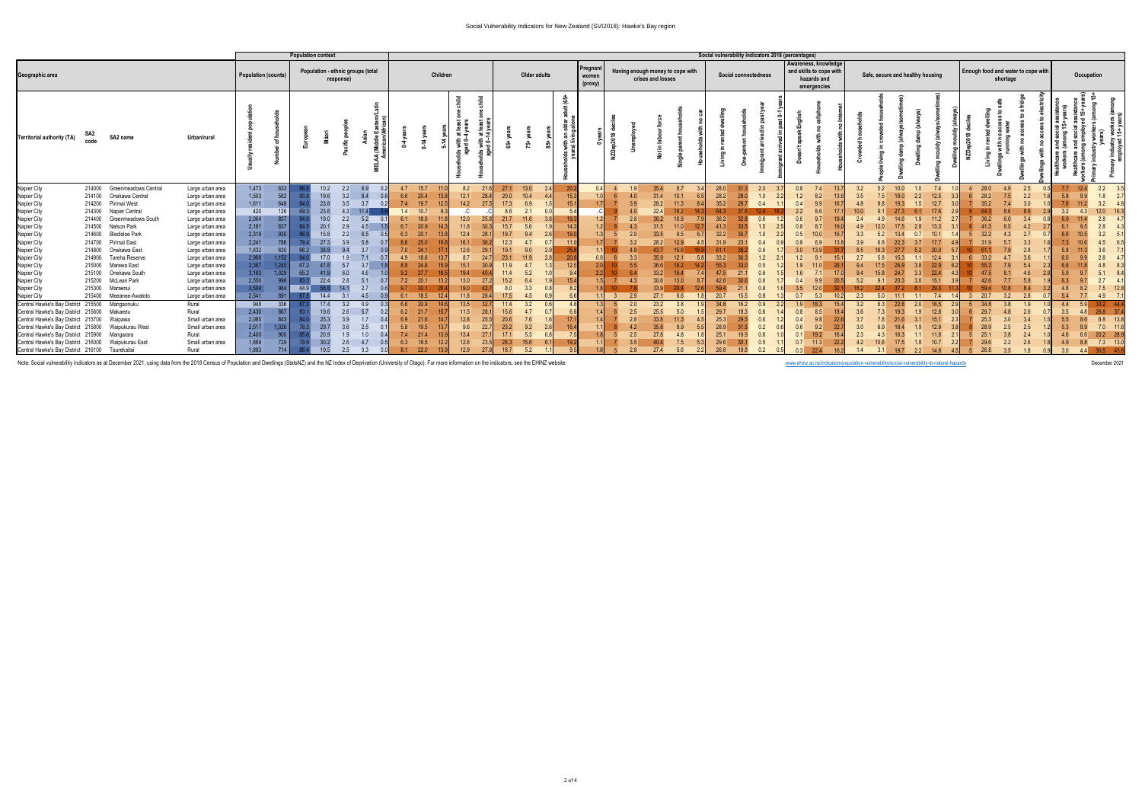| <b>Population context</b>                                                                                                                                                                                                                                                                                                                    |                                                |                                                                                                                                                                                                                                                                                                  |                                                                                                                                                                                                                                                                  |                                                                                                                 |                                            | Social vulnerability indicators 2018 (percentages)                                                  |                                                                                         |                                                                     |                                                                                         |                                                                                                      |                                                                                                     |                                                        |                                                                                             |                                                   |                                            |                                      |                      |                                                                            |                                                                                                                                                                                                    |  |                                                                                                      |                                                                                                                |                                                      |                                                                    |                                                                                            |            |     |                                                                  |                                                                                                     |                                      |                   |                                        |                                 |            |                                                                                  |
|----------------------------------------------------------------------------------------------------------------------------------------------------------------------------------------------------------------------------------------------------------------------------------------------------------------------------------------------|------------------------------------------------|--------------------------------------------------------------------------------------------------------------------------------------------------------------------------------------------------------------------------------------------------------------------------------------------------|------------------------------------------------------------------------------------------------------------------------------------------------------------------------------------------------------------------------------------------------------------------|-----------------------------------------------------------------------------------------------------------------|--------------------------------------------|-----------------------------------------------------------------------------------------------------|-----------------------------------------------------------------------------------------|---------------------------------------------------------------------|-----------------------------------------------------------------------------------------|------------------------------------------------------------------------------------------------------|-----------------------------------------------------------------------------------------------------|--------------------------------------------------------|---------------------------------------------------------------------------------------------|---------------------------------------------------|--------------------------------------------|--------------------------------------|----------------------|----------------------------------------------------------------------------|----------------------------------------------------------------------------------------------------------------------------------------------------------------------------------------------------|--|------------------------------------------------------------------------------------------------------|----------------------------------------------------------------------------------------------------------------|------------------------------------------------------|--------------------------------------------------------------------|--------------------------------------------------------------------------------------------|------------|-----|------------------------------------------------------------------|-----------------------------------------------------------------------------------------------------|--------------------------------------|-------------------|----------------------------------------|---------------------------------|------------|----------------------------------------------------------------------------------|
| Geographic area                                                                                                                                                                                                                                                                                                                              |                                                |                                                                                                                                                                                                                                                                                                  |                                                                                                                                                                                                                                                                  | <b>Population (counts)</b>                                                                                      |                                            |                                                                                                     | Population - ethnic groups (total<br>response)                                          |                                                                     |                                                                                         | Children                                                                                             |                                                                                                     |                                                        |                                                                                             | Older adults                                      |                                            | Pregnan<br>women<br>$(\text{proxy})$ |                      |                                                                            | Having enough money to cope with<br>crises and losses                                                                                                                                              |  |                                                                                                      | Social connectedness                                                                                           |                                                      |                                                                    | Awareness, knowledge<br>and skills to cope with<br>hazards and<br>emergencies              |            |     | Safe, secure and healthy housing                                 |                                                                                                     |                                      | shortage          | Enough food and water to cope with     |                                 | Occupation |                                                                                  |
| <b>Territorial authority (TA)</b>                                                                                                                                                                                                                                                                                                            | SA2<br>code                                    | SA2 name                                                                                                                                                                                                                                                                                         | Urban/rural                                                                                                                                                                                                                                                      |                                                                                                                 |                                            |                                                                                                     |                                                                                         |                                                                     |                                                                                         |                                                                                                      | $rac{1}{6}$<br>್<br>≗<br>ਨ +                                                                        | ehild<br># 결                                           |                                                                                             | <u>ង្</u>                                         | $11(65+$                                   |                                      | p2018<br><b>ROZN</b> |                                                                            |                                                                                                                                                                                                    |  |                                                                                                      |                                                                                                                |                                                      |                                                                    |                                                                                            |            |     |                                                                  |                                                                                                     |                                      |                   |                                        |                                 | دن         |                                                                                  |
| Napier City<br>Napier City<br>Napier City<br>Napier City<br>Napier City<br>Napier City<br>Napier City<br>Napier City<br>Napier City<br>Napier City<br>Napier City<br>Napier City<br>Napier City                                                                                                                                              | 214400<br>214600<br>214800<br>214900<br>215000 | 214000 Greenmeadows Central<br>214100 Onekawa Central<br>214200 Pirimai West<br>214300 Napier Central<br>Greenmeadows South<br>214500 Nelson Park<br><b>Bledisloe Park</b><br>214700 Pirimai East<br>Onekawa East<br>Tareha Reserve<br>Marewa East<br>215100 Onekawa South<br>215200 McLean Park | Large urban area<br>Large urban area<br>Large urban area<br>Large urban area<br>Large urban area<br>Large urban area<br>Large urban area<br>Large urban area<br>Large urban area<br>Large urban area<br>Large urban area<br>Large urban area<br>Large urban area | 1,473<br>1,503<br>1,611<br>420<br>2,064<br>2,181<br>2,319<br>2,241<br>1,632<br>2,988<br>3,387<br>3,183<br>2,550 | 633<br>648<br>837<br>630<br>1.152<br>1.029 | 19.6<br>23.8<br>23.6<br>69.<br>19.0<br>20.7<br>15.8<br>27.3<br>66.2<br>17.0<br>67.2<br>65.2<br>22.4 | 2.2<br>3.2<br>3.5<br>4.3<br>2.2<br>2.9<br>2.2<br>3.9<br>9.4<br>1.9<br>5.7<br>6.0<br>2.8 | 6.9<br>8.4<br>3.7<br>0.2<br>11.4<br>5.2<br>4.5<br>6.5<br>5.8<br>3.7 | 4.7<br>6.6<br>7.4<br>1.4<br>6.1<br>6.7<br>6.3<br>8.6<br>7.0<br>4.9<br>8.8<br>9.2<br>7.2 | 15.7<br>20.4<br>19.7<br>12.5<br>10.7<br>18.0<br>20.9<br>20.1<br>13.8<br>25.0<br>24.1<br>18.6<br>20.1 | 8.2<br>$12.1$<br>14.2<br>C<br>$12.0$<br>11.8<br>12.4<br>16.1<br>12.6<br>8.7<br>15.1<br>19.4<br>13.0 | 21.0<br>28.<br>27<br>25<br>28.<br>29.1<br>24<br>27.    | 20.0<br>17.3<br>8.6<br>21.7<br>15.7<br>19.7<br>12.3<br>19.1<br>23.1<br>11.9<br>11.4<br>15.2 | $13.0$<br>10.4<br>6.9<br>5.6<br>9.0<br>5.2<br>6.4 | 19.3<br>14.3<br>190<br>20.8<br>12.5<br>154 |                                      |                      | 4 <sub>0</sub><br>2.8<br>4.3<br>2.9<br>3.2<br>3.3<br>5.5<br>4 <sup>3</sup> | 35.4<br>8.7<br>31.4<br>10.1<br>28.2<br>11.3<br>16.2<br>22.4<br>36.2<br>10.9<br>31.5<br>11.0<br>33.5<br>9.5<br>12.9<br>28.2<br>43.7<br>15.6<br>35.9<br>12.1<br>18.2<br>33.2<br>16.4<br>30.6<br>13.0 |  | 28.0<br>28.2<br>35.2<br>64.3<br>36.2<br>41.3<br>32.2<br>31.9<br>61.1<br>33.2<br>55.3<br>47.5<br>42.6 | 31.3<br>28.0<br>0.4<br>29.7<br>0.6<br>33.5<br>30.7<br>23.1<br>30.3<br>0.5<br>21.1<br>30.6                      | 2.0<br>1.0<br>1.5<br>0.4<br>0.6<br>1.2<br>0.6<br>0.6 | 0.4<br>2.2<br>0.6<br>0.8<br>0.5<br>0.8<br>3.0<br>1.2<br>1.9<br>0.4 | 7.4<br>8.2<br>9.9<br>8.6<br>9.7<br>8.7<br>10.0<br>6.9<br>13.9<br>9.1<br>11.0<br>7.1<br>9.9 | 3.9        | 5.2 | 10.0<br>1.0<br>18.0<br>19.3<br>1.5<br>22.3<br>277<br>15.3        | 7.4<br>12.5<br>12.7<br>17.6<br>11.2<br>13.3<br>10.1<br>17.7<br>20.0<br>12.4<br>22.9<br>22.4<br>15.1 | 28.0<br>35.2                         | 4.9               | 2.5<br>2.2<br>3.0<br>5.8               |                                 | 12.4       | 2.2<br>3.5                                                                       |
| Napier City<br>Napier City<br>Central Hawke's Bay District 215500 Mangaonuku<br>Central Hawke's Bay District 215600<br>Central Hawke's Bay District 215700<br>Central Hawke's Bay District 215800<br>Central Hawke's Bay District 215900 Mangarara<br>Central Hawke's Bay District 216000<br>Central Hawke's Bay District 216100 Taurekaitai |                                                | 215300 Maraenui<br>215400 Meeanee-Awatoto<br>Makaretu<br>Waipawa<br>Waipukurau West<br>Waipukurau East                                                                                                                                                                                           | Large urban area<br>Large urban area<br>Rural<br>Rural<br>Small urban area<br>Small urban area<br>Rural<br>Small urban area<br>Rural                                                                                                                             | 3,504<br>2,541<br>948<br>2,430<br>2,085<br>2,517<br>2,400<br>1,869<br>1.893                                     | 336<br>1.026<br>729<br>714                 | 17.4<br>19.6<br>25.3<br>29.7<br>78.3<br>30.2<br>19.5                                                | 14.1<br>3.2<br>2.6<br>3.9<br>3.6<br>1.9<br>2.6<br>2.5                                   | 2.7<br>4.5<br>0.9<br>5.7<br>1.7<br>2.5<br>4.7<br>0.3                | 9.7<br>6.1<br>6.6<br>6.2<br>6.9<br>5.8<br>7.4<br>6.3<br>8.1                             | 18.5<br>12 <sub>4</sub><br>20.9<br>21.7<br>21.6<br>19.5<br>18.5<br>22.0<br>13.9                      | 19.0<br>11.8<br>13.5<br>$11.5$<br>12.8<br>9.6<br>13.4<br>$12.6$<br>12.9                             | 28.4<br>32.<br>28.<br>25.5<br>22<br>27<br>23.5<br>27.5 | 8.0<br>17.5<br>11.4<br>15.6<br>20.6<br>23.2<br>17.1<br>28.3<br>18.7                         | 4.5<br>3.2<br>7.6<br>9.2<br>5.3<br>15.6<br>5.2    | 17.1<br>16.4                               |                                      |                      | 2.9<br>2.0<br>2.5<br>2.8<br>2.8                                            | 33.9<br>20.4<br>27.1<br>6.6<br>3.8<br>23.2<br>5.0<br>25.5<br>33.8<br>11.3<br>35.8<br>8.9<br>40.4<br>27.4<br>5.6                                                                                    |  | 20.7<br>34.8<br>29.7<br>25.3<br>28.9<br>25.1<br>29.6<br>26.8                                         | 0.8<br>21.1<br>15.5<br>16.2<br>0.9<br>18.3<br>0.6<br>29.5<br>31.5<br>0.6<br>19.9<br>0.5<br>30.1<br>0.2<br>19.8 | 0.8<br>0.6<br>0.2                                    | 3.5<br>0.7<br>1.9<br>0.8<br>0.4<br>0.6<br>0.1<br>0.7<br>0.3        | 5.3<br>18.3<br>8.5<br>9.8<br>9.2<br>19.2<br>11.3<br>22.4                                   | 3.2<br>1.4 | 5.0 | 11.1<br>1.1<br>22.8<br>2.0<br>19.3<br>1.9<br>17.5<br>19.7<br>2.2 | 7.4<br>16.5<br>12.8<br>15.1<br>12.9<br>11.8<br>10.7<br>14.8                                         | 20.7<br>34 R<br>25.3<br>29.6<br>26.8 | 3.8<br>2.2<br>3.5 | 1.9<br>2.6<br>3.4<br>2.5<br>2.6<br>1.8 | 4.4<br>3.5<br>5.5<br>4.9<br>3.0 | 8.8<br>4.4 | 37.4<br>26.8<br>13.8<br>8.8<br>11.6<br>7.0<br>20.2 28.9<br>7.3 13.0<br>30.5 43.6 |

Note: Social vulnerability indicators as at December 2021, using data from the 2018 Census of Population and Dwellings (StatsNZ) and the NZ Index of Deprivation (University of Otago). For more information on the indicators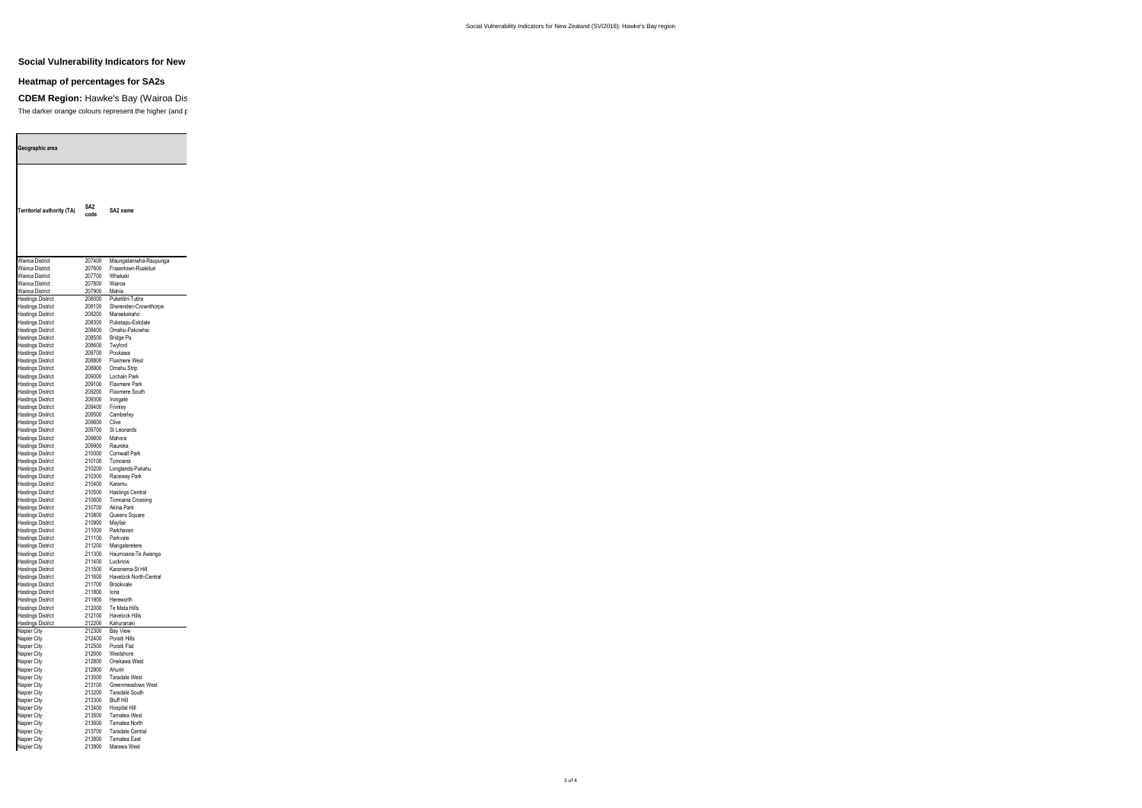## **Social Vulnerability Indicators for New**

## **Heatmap of percentages for SA2s**

**CDEM Region: Hawke's Bay (Wairoa District)** The darker orange colours represent the higher (and potential

and the control of the control of the control of the control of the control of

| Geographic area                                      |                  |                                         |
|------------------------------------------------------|------------------|-----------------------------------------|
| Territorial authority (TA)                           | SA2<br>code      | SA2 name                                |
|                                                      |                  |                                         |
|                                                      |                  |                                         |
| <b>Wairoa District</b>                               | 207400           | Maungataniwha-Raupunga                  |
| Wairoa District<br>Wairoa District                   | 207600           | Frasertown-Ruakituri<br>Whakaki         |
| <b>Wairoa District</b>                               | 207700<br>207800 | Wairoa                                  |
| Wairoa District                                      | 207900           | Mahia                                   |
| <b>Hastings District</b>                             | 208000           | Puketitiri-Tutira                       |
| <b>Hastings District</b>                             | 208100           | Sherenden-Crownthorpe                   |
| <b>Hastings District</b><br><b>Hastings District</b> | 208200<br>208300 | Maraekakaho<br>Puketapu-Eskdale         |
| <b>Hastings District</b>                             | 208400           | Omahu-Pakowhai                          |
| <b>Hastings District</b>                             | 208500           | Bridge Pa                               |
| <b>Hastings District</b>                             | 208600           | Twyford<br>Poukawa                      |
| <b>Hastings District</b><br><b>Hastings District</b> | 208700<br>208800 | <b>Flaxmere West</b>                    |
| <b>Hastings District</b>                             | 208900           | Omahu Strip                             |
| <b>Hastings District</b>                             | 209000           | Lochain Park                            |
| <b>Hastings District</b>                             | 209100           | Flaxmere Park                           |
| <b>Hastings District</b><br><b>Hastings District</b> | 209200<br>209300 | Flaxmere South<br>Irongate              |
| <b>Hastings District</b>                             | 209400           | Frimley                                 |
| <b>Hastings District</b>                             | 209500           | Camberley                               |
| <b>Hastings District</b>                             | 209600           | Clive                                   |
| <b>Hastings District</b><br><b>Hastings District</b> | 209700<br>209800 | St Leonards<br>Mahora                   |
| <b>Hastings District</b>                             | 209900           | Raureka                                 |
| <b>Hastings District</b>                             | 210000           | <b>Cornwall Park</b>                    |
| <b>Hastings District</b>                             | 210100           | Tomoana                                 |
| <b>Hastings District</b><br><b>Hastings District</b> | 210200<br>210300 | Longlands-Pukahu<br>Raceway Park        |
| <b>Hastings District</b>                             | 210400           | Karamu                                  |
| <b>Hastings District</b>                             | 210500           | <b>Hastings Central</b>                 |
| <b>Hastings District</b>                             | 210600           | Tomoana Crossing                        |
| <b>Hastings District</b><br><b>Hastings District</b> | 210700<br>210800 | Akina Park<br>Queens Square             |
| <b>Hastings District</b>                             | 210900           | Mavfair                                 |
| <b>Hastings District</b>                             | 211000           | Parkhaven                               |
| <b>Hastings District</b>                             | 211100           | Parkvale                                |
| <b>Hastings District</b><br><b>Hastings District</b> | 211200<br>211300 | Mangateretere<br>Haumoana-Te Awanga     |
| <b>Hastings District</b>                             | 211400           | Lucknow                                 |
| <b>Hastings District</b>                             | 211500           | Karanema-St Hill                        |
| <b>Hastings District</b>                             | 211600<br>211700 | Havelock North-Central<br>Brookvale     |
| <b>Hastings District</b><br><b>Hastings District</b> | 211800           | lona                                    |
| <b>Hastings District</b>                             | 211900           | Hereworth                               |
| <b>Hastings District</b>                             | 212000           | Te Mata Hills                           |
| <b>Hastings District</b><br><b>Hastings District</b> | 212100<br>212200 | Havelock Hills<br>Kahuranaki            |
| Napier City                                          | 212300           | <b>Bay View</b>                         |
| Napier City                                          | 212400           | Poraiti Hills                           |
| Napier City                                          | 212500           | Poraiti Flat                            |
| Napier City<br>Napier City                           | 212600<br>212800 | Westshore<br>Onekawa West               |
| Napier City                                          | 212900           | Ahuriri                                 |
| Napier City                                          | 213000           | <b>Taradale West</b>                    |
| Napier City                                          | 213100           | Greenmeadows West                       |
| Napier City                                          | 213200           | Taradale South                          |
| Napier City<br>Napier City                           | 213300<br>213400 | <b>Bluff Hill</b><br>Hospital Hill      |
| Napier City                                          | 213500           | <b>Tamatea West</b>                     |
| Napier City                                          | 213600           | Tamatea North                           |
| Napier City<br>Napier City                           | 213700<br>213800 | <b>Taradale Central</b><br>Tamatea East |
| Napier City                                          | 213900           | Marewa West                             |
|                                                      |                  |                                         |